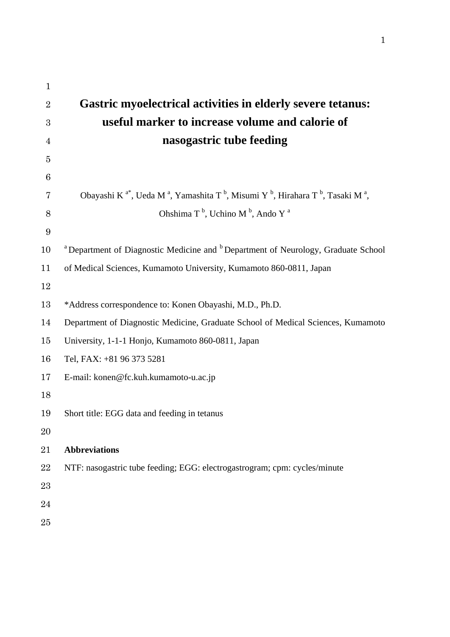| $\mathbf{1}$     |                                                                                                                                                       |
|------------------|-------------------------------------------------------------------------------------------------------------------------------------------------------|
| $\overline{2}$   | <b>Gastric myoelectrical activities in elderly severe tetanus:</b>                                                                                    |
| $\boldsymbol{3}$ | useful marker to increase volume and calorie of                                                                                                       |
| $\overline{4}$   | nasogastric tube feeding                                                                                                                              |
| $\overline{5}$   |                                                                                                                                                       |
| 6                |                                                                                                                                                       |
| 7                | Obayashi K <sup>a*</sup> , Ueda M <sup>a</sup> , Yamashita T <sup>b</sup> , Misumi Y <sup>b</sup> , Hirahara T <sup>b</sup> , Tasaki M <sup>a</sup> , |
| $8\,$            | Ohshima T <sup>b</sup> , Uchino M <sup>b</sup> , Ando Y <sup>a</sup>                                                                                  |
| $\boldsymbol{9}$ |                                                                                                                                                       |
| 10               | <sup>a</sup> Department of Diagnostic Medicine and <sup>b</sup> Department of Neurology, Graduate School                                              |
| 11               | of Medical Sciences, Kumamoto University, Kumamoto 860-0811, Japan                                                                                    |
| 12               |                                                                                                                                                       |
| 13               | *Address correspondence to: Konen Obayashi, M.D., Ph.D.                                                                                               |
| 14               | Department of Diagnostic Medicine, Graduate School of Medical Sciences, Kumamoto                                                                      |
| 15               | University, 1-1-1 Honjo, Kumamoto 860-0811, Japan                                                                                                     |
| 16               | Tel, FAX: +81 96 373 5281                                                                                                                             |
| 17               | E-mail: konen@fc.kuh.kumamoto-u.ac.jp                                                                                                                 |
| 18               |                                                                                                                                                       |
| 19               | Short title: EGG data and feeding in tetanus                                                                                                          |
| 20               |                                                                                                                                                       |
| 21               | <b>Abbreviations</b>                                                                                                                                  |
| 22               | NTF: nasogastric tube feeding; EGG: electrogastrogram; cpm: cycles/minute                                                                             |
| 23               |                                                                                                                                                       |
| 24               |                                                                                                                                                       |
| 25               |                                                                                                                                                       |
|                  |                                                                                                                                                       |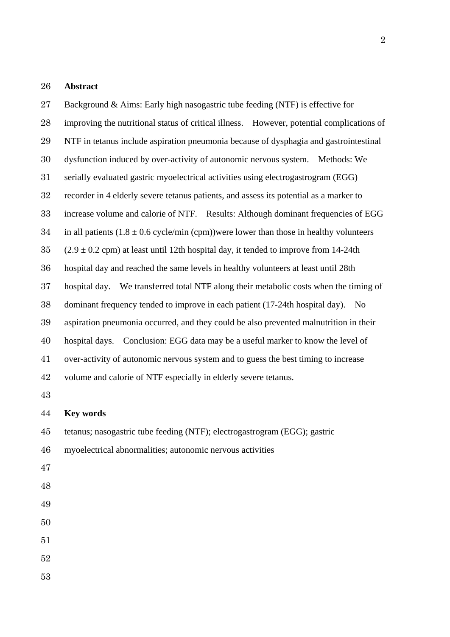### **Abstract**

Background & Aims: Early high nasogastric tube feeding (NTF) is effective for improving the nutritional status of critical illness. However, potential complications of NTF in tetanus include aspiration pneumonia because of dysphagia and gastrointestinal dysfunction induced by over-activity of autonomic nervous system. Methods: We serially evaluated gastric myoelectrical activities using electrogastrogram (EGG) recorder in 4 elderly severe tetanus patients, and assess its potential as a marker to increase volume and calorie of NTF. Results: Although dominant frequencies of EGG 34 in all patients  $(1.8 \pm 0.6 \text{ cycle/min (cpm)})$  were lower than those in healthy volunteers (2.9  $\pm$  0.2 cpm) at least until 12th hospital day, it tended to improve from 14-24th hospital day and reached the same levels in healthy volunteers at least until 28th hospital day. We transferred total NTF along their metabolic costs when the timing of dominant frequency tended to improve in each patient (17-24th hospital day). No aspiration pneumonia occurred, and they could be also prevented malnutrition in their hospital days. Conclusion: EGG data may be a useful marker to know the level of over-activity of autonomic nervous system and to guess the best timing to increase volume and calorie of NTF especially in elderly severe tetanus. **Key words**  tetanus; nasogastric tube feeding (NTF); electrogastrogram (EGG); gastric myoelectrical abnormalities; autonomic nervous activities 

- 
- 
-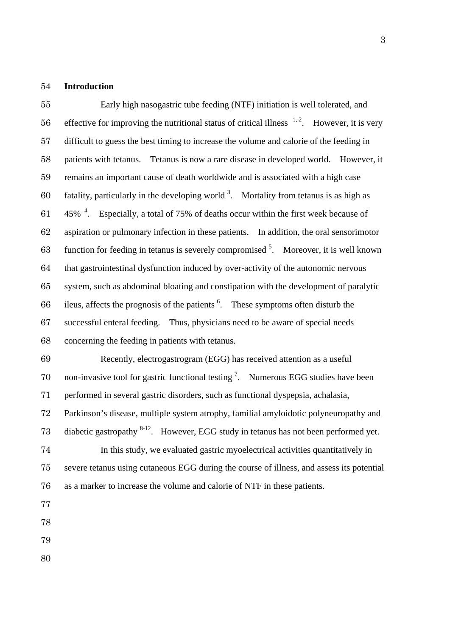## **Introduction**

Early high nasogastric tube feeding (NTF) initiation is well tolerated, and 56 effective for improving the nutritional status of critical illness  $1, 2$ . However, it is very difficult to guess the best timing to increase the volume and calorie of the feeding in patients with tetanus. Tetanus is now a rare disease in developed world. However, it remains an important cause of death worldwide and is associated with a high case 60 fatality, particularly in the developing world . Mortality from tetanus is as high as  $-45\%$  <sup>4</sup>. Especially, a total of 75% of deaths occur within the first week because of aspiration or pulmonary infection in these patients. In addition, the oral sensorimotor 63 function for feeding in tetanus is severely compromised . Moreover, it is well known that gastrointestinal dysfunction induced by over-activity of the autonomic nervous system, such as abdominal bloating and constipation with the development of paralytic 66 ileus, affects the prognosis of the patients  $6<sup>6</sup>$ . These symptoms often disturb the successful enteral feeding. Thus, physicians need to be aware of special needs concerning the feeding in patients with tetanus.

Recently, electrogastrogram (EGG) has received attention as a useful 70 non-invasive tool for gastric functional testing  $\frac{7}{1}$ . Numerous EGG studies have been performed in several gastric disorders, such as functional dyspepsia, achalasia, Parkinson's disease, multiple system atrophy, familial amyloidotic polyneuropathy and 73 diabetic gastropathy  $8-12$ . However, EGG study in tetanus has not been performed yet. In this study, we evaluated gastric myoelectrical activities quantitatively in severe tetanus using cutaneous EGG during the course of illness, and assess its potential

as a marker to increase the volume and calorie of NTF in these patients.

- 
-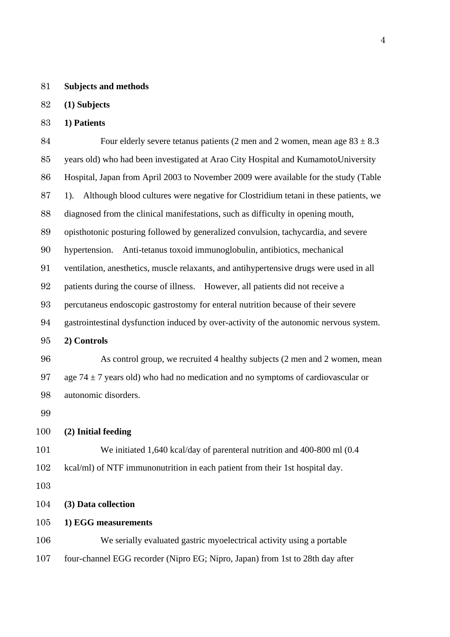### **Subjects and methods**

# **(1) Subjects**

# **1) Patients**

84 Four elderly severe tetanus patients (2 men and 2 women, mean age  $83 \pm 8.3$ years old) who had been investigated at Arao City Hospital and KumamotoUniversity Hospital, Japan from April 2003 to November 2009 were available for the study (Table 1). Although blood cultures were negative for Clostridium tetani in these patients, we diagnosed from the clinical manifestations, such as difficulty in opening mouth, opisthotonic posturing followed by generalized convulsion, tachycardia, and severe hypertension. Anti-tetanus toxoid immunoglobulin, antibiotics, mechanical ventilation, anesthetics, muscle relaxants, and antihypertensive drugs were used in all patients during the course of illness. However, all patients did not receive a percutaneus endoscopic gastrostomy for enteral nutrition because of their severe gastrointestinal dysfunction induced by over-activity of the autonomic nervous system. **2) Controls**  As control group, we recruited 4 healthy subjects (2 men and 2 women, mean 97 age 74  $\pm$  7 years old) who had no medication and no symptoms of cardiovascular or autonomic disorders.

#### **(2) Initial feeding**

We initiated 1,640 kcal/day of parenteral nutrition and 400-800 ml (0.4 kcal/ml) of NTF immunonutrition in each patient from their 1st hospital day.

**(3) Data collection** 

**1) EGG measurements** 

We serially evaluated gastric myoelectrical activity using a portable four-channel EGG recorder (Nipro EG; Nipro, Japan) from 1st to 28th day after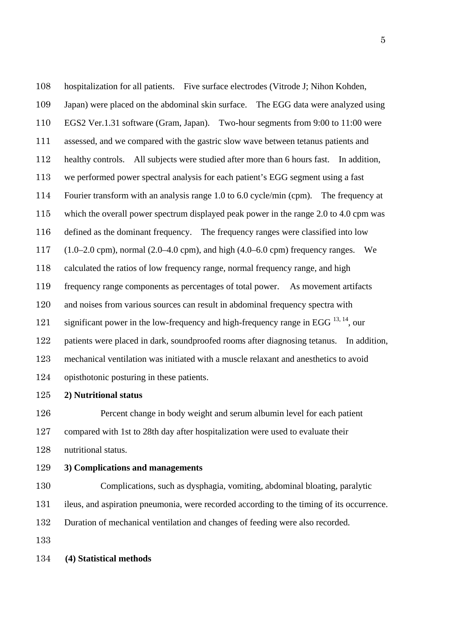hospitalization for all patients. Five surface electrodes (Vitrode J; Nihon Kohden, Japan) were placed on the abdominal skin surface. The EGG data were analyzed using EGS2 Ver.1.31 software (Gram, Japan). Two-hour segments from 9:00 to 11:00 were assessed, and we compared with the gastric slow wave between tetanus patients and healthy controls. All subjects were studied after more than 6 hours fast. In addition, we performed power spectral analysis for each patient's EGG segment using a fast Fourier transform with an analysis range 1.0 to 6.0 cycle/min (cpm). The frequency at which the overall power spectrum displayed peak power in the range 2.0 to 4.0 cpm was defined as the dominant frequency. The frequency ranges were classified into low (1.0–2.0 cpm), normal (2.0–4.0 cpm), and high (4.0–6.0 cpm) frequency ranges. We calculated the ratios of low frequency range, normal frequency range, and high frequency range components as percentages of total power. As movement artifacts and noises from various sources can result in abdominal frequency spectra with 121 significant power in the low-frequency and high-frequency range in EGG  $^{13, 14}$ , our patients were placed in dark, soundproofed rooms after diagnosing tetanus. In addition, mechanical ventilation was initiated with a muscle relaxant and anesthetics to avoid opisthotonic posturing in these patients.

**2) Nutritional status** 

Percent change in body weight and serum albumin level for each patient compared with 1st to 28th day after hospitalization were used to evaluate their nutritional status.

# **3) Complications and managements**

Complications, such as dysphagia, vomiting, abdominal bloating, paralytic

ileus, and aspiration pneumonia, were recorded according to the timing of its occurrence.

Duration of mechanical ventilation and changes of feeding were also recorded.

# **(4) Statistical methods**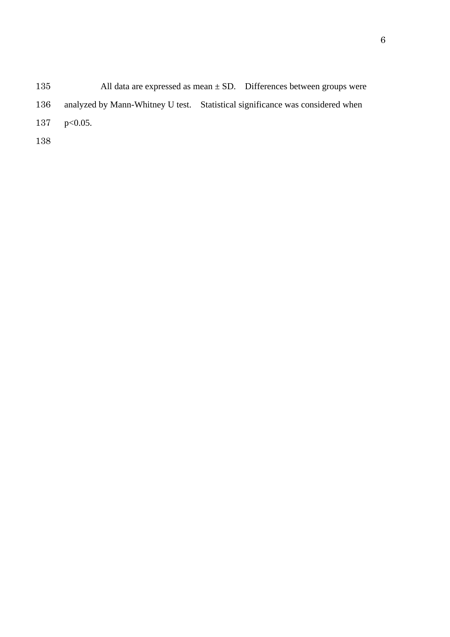135 All data are expressed as mean  $\pm$  SD. Differences between groups were analyzed by Mann-Whitney U test. Statistical significance was considered when p<0.05.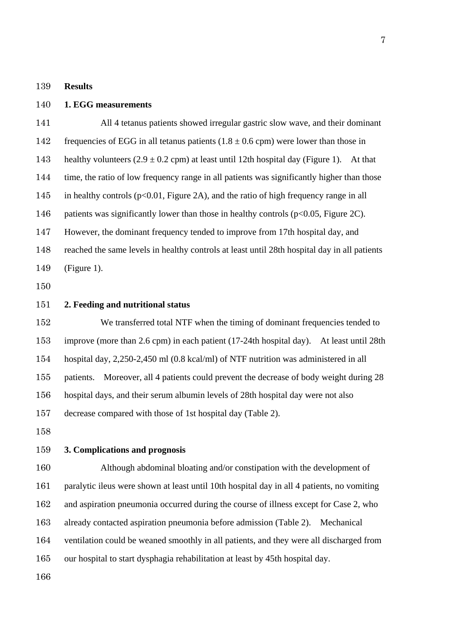#### **Results**

**1. EGG measurements** 

All 4 tetanus patients showed irregular gastric slow wave, and their dominant 142 frequencies of EGG in all tetanus patients  $(1.8 \pm 0.6$  cpm) were lower than those in 143 healthy volunteers  $(2.9 \pm 0.2 \text{ cm})$  at least until 12th hospital day (Figure 1). At that time, the ratio of low frequency range in all patients was significantly higher than those in healthy controls (p<0.01, Figure 2A), and the ratio of high frequency range in all 146 patients was significantly lower than those in healthy controls ( $p<0.05$ , Figure 2C). However, the dominant frequency tended to improve from 17th hospital day, and reached the same levels in healthy controls at least until 28th hospital day in all patients (Figure 1).

**2. Feeding and nutritional status** 

152 We transferred total NTF when the timing of dominant frequencies tended to improve (more than 2.6 cpm) in each patient (17-24th hospital day). At least until 28th hospital day, 2,250-2,450 ml (0.8 kcal/ml) of NTF nutrition was administered in all patients. Moreover, all 4 patients could prevent the decrease of body weight during 28 hospital days, and their serum albumin levels of 28th hospital day were not also decrease compared with those of 1st hospital day (Table 2).

## **3. Complications and prognosis**

Although abdominal bloating and/or constipation with the development of paralytic ileus were shown at least until 10th hospital day in all 4 patients, no vomiting and aspiration pneumonia occurred during the course of illness except for Case 2, who already contacted aspiration pneumonia before admission (Table 2). Mechanical ventilation could be weaned smoothly in all patients, and they were all discharged from our hospital to start dysphagia rehabilitation at least by 45th hospital day.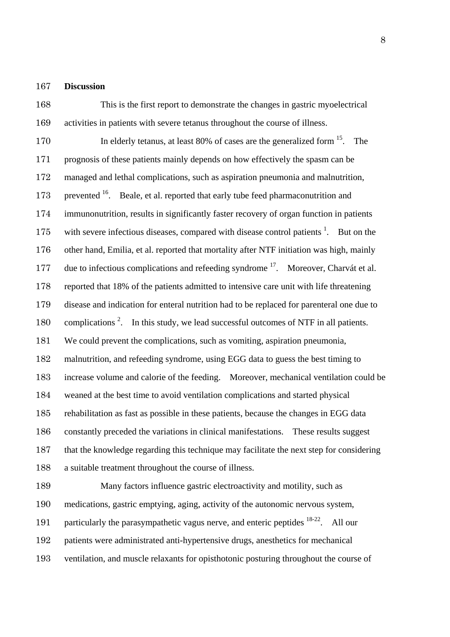### **Discussion**

This is the first report to demonstrate the changes in gastric myoelectrical activities in patients with severe tetanus throughout the course of illness. 170 In elderly tetanus, at least 80% of cases are the generalized form <sup>15</sup>. The prognosis of these patients mainly depends on how effectively the spasm can be managed and lethal complications, such as aspiration pneumonia and malnutrition, 173 represented . Beale, et al. reported that early tube feed pharmaconutrition and immunonutrition, results in significantly faster recovery of organ function in patients with severe infectious diseases, compared with disease control patients  $1$ . But on the other hand, Emilia, et al. reported that mortality after NTF initiation was high, mainly 177 due to infectious complications and refeeding syndrome <sup>17</sup>. Moreover, Charvát et al. reported that 18% of the patients admitted to intensive care unit with life threatening disease and indication for enteral nutrition had to be replaced for parenteral one due to 180 complications <sup>2</sup>. In this study, we lead successful outcomes of NTF in all patients. We could prevent the complications, such as vomiting, aspiration pneumonia, malnutrition, and refeeding syndrome, using EGG data to guess the best timing to increase volume and calorie of the feeding. Moreover, mechanical ventilation could be weaned at the best time to avoid ventilation complications and started physical rehabilitation as fast as possible in these patients, because the changes in EGG data constantly preceded the variations in clinical manifestations. These results suggest that the knowledge regarding this technique may facilitate the next step for considering a suitable treatment throughout the course of illness.

Many factors influence gastric electroactivity and motility, such as medications, gastric emptying, aging, activity of the autonomic nervous system, 191 particularly the parasympathetic vagus nerve, and enteric peptides  $18-22$ . All our patients were administrated anti-hypertensive drugs, anesthetics for mechanical ventilation, and muscle relaxants for opisthotonic posturing throughout the course of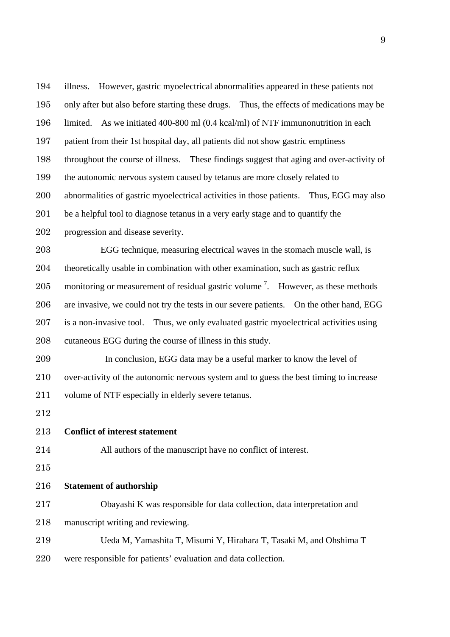illness. However, gastric myoelectrical abnormalities appeared in these patients not only after but also before starting these drugs. Thus, the effects of medications may be limited. As we initiated 400-800 ml (0.4 kcal/ml) of NTF immunonutrition in each patient from their 1st hospital day, all patients did not show gastric emptiness throughout the course of illness. These findings suggest that aging and over-activity of the autonomic nervous system caused by tetanus are more closely related to abnormalities of gastric myoelectrical activities in those patients. Thus, EGG may also be a helpful tool to diagnose tetanus in a very early stage and to quantify the progression and disease severity. EGG technique, measuring electrical waves in the stomach muscle wall, is theoretically usable in combination with other examination, such as gastric reflux 205 monitoring or measurement of residual gastric volume  $\frac{7}{2}$ . However, as these methods are invasive, we could not try the tests in our severe patients. On the other hand, EGG is a non-invasive tool. Thus, we only evaluated gastric myoelectrical activities using cutaneous EGG during the course of illness in this study. In conclusion, EGG data may be a useful marker to know the level of over-activity of the autonomic nervous system and to guess the best timing to increase volume of NTF especially in elderly severe tetanus. **Conflict of interest statement**  All authors of the manuscript have no conflict of interest. **Statement of authorship**  Obayashi K was responsible for data collection, data interpretation and manuscript writing and reviewing. Ueda M, Yamashita T, Misumi Y, Hirahara T, Tasaki M, and Ohshima T were responsible for patients' evaluation and data collection.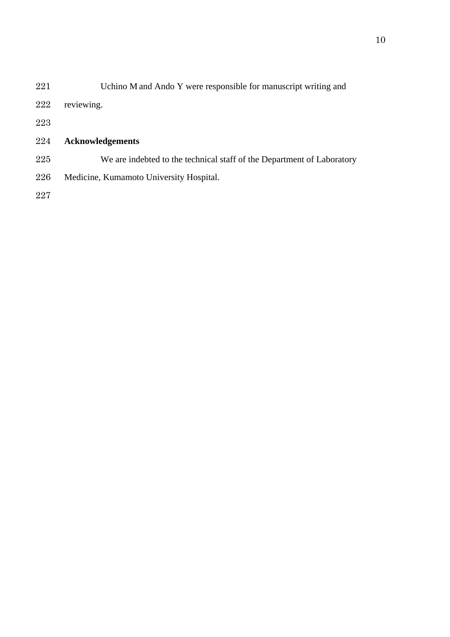| 221 | Uchino M and Ando Y were responsible for manuscript writing and        |
|-----|------------------------------------------------------------------------|
| 222 | reviewing.                                                             |
| 223 |                                                                        |
| 224 | <b>Acknowledgements</b>                                                |
| 225 | We are indebted to the technical staff of the Department of Laboratory |
| 226 | Medicine, Kumamoto University Hospital.                                |
| 227 |                                                                        |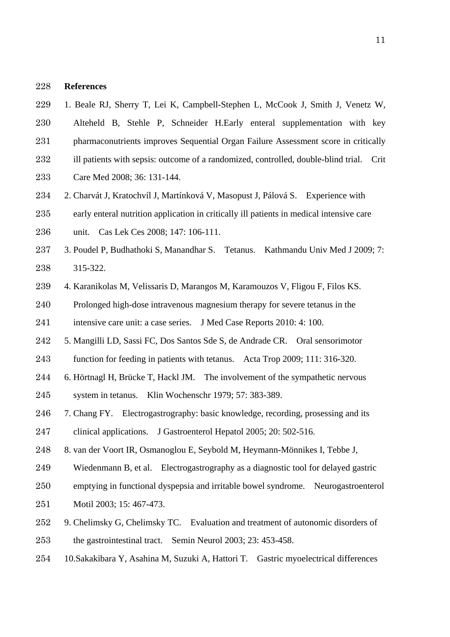#### **References**

- 1. Beale RJ, Sherry T, Lei K, Campbell-Stephen L, McCook J, Smith J, Venetz W,
- Alteheld B, Stehle P, Schneider H.Early enteral supplementation with key pharmaconutrients improves Sequential Organ Failure Assessment score in critically
- 232 ill patients with sepsis: outcome of a randomized, controlled, double-blind trial. Crit
- Care Med 2008; 36: 131-144.
- 2. Charvát J, Kratochvíl J, Martínková V, Masopust J, Pálová S. Experience with
- early enteral nutrition application in critically ill patients in medical intensive care
- unit. Cas Lek Ces 2008; 147: 106-111.
- 3. Poudel P, Budhathoki S, Manandhar S. Tetanus. Kathmandu Univ Med J 2009; 7: 315-322.
- 4. Karanikolas M, Velissaris D, Marangos M, Karamouzos V, Fligou F, Filos KS.
- Prolonged high-dose intravenous magnesium therapy for severe tetanus in the intensive care unit: a case series. J Med Case Reports 2010: 4: 100.
- 5. Mangilli LD, Sassi FC, Dos Santos Sde S, de Andrade CR. Oral sensorimotor
- function for feeding in patients with tetanus. Acta Trop 2009; 111: 316-320.
- 6. Hörtnagl H, Brücke T, Hackl JM. The involvement of the sympathetic nervous
- system in tetanus. Klin Wochenschr 1979; 57: 383-389.
- 7. Chang FY. Electrogastrography: basic knowledge, recording, prosessing and its clinical applications. J Gastroenterol Hepatol 2005; 20: 502-516.
- 8. van der Voort IR, Osmanoglou E, Seybold M, Heymann-Mönnikes I, Tebbe J,
- Wiedenmann B, et al. Electrogastrography as a diagnostic tool for delayed gastric
- emptying in functional dyspepsia and irritable bowel syndrome. Neurogastroenterol
- Motil 2003; 15: 467-473.
- 9. Chelimsky G, Chelimsky TC. Evaluation and treatment of autonomic disorders of the gastrointestinal tract. Semin Neurol 2003; 23: 453-458.
- 10.Sakakibara Y, Asahina M, Suzuki A, Hattori T. Gastric myoelectrical differences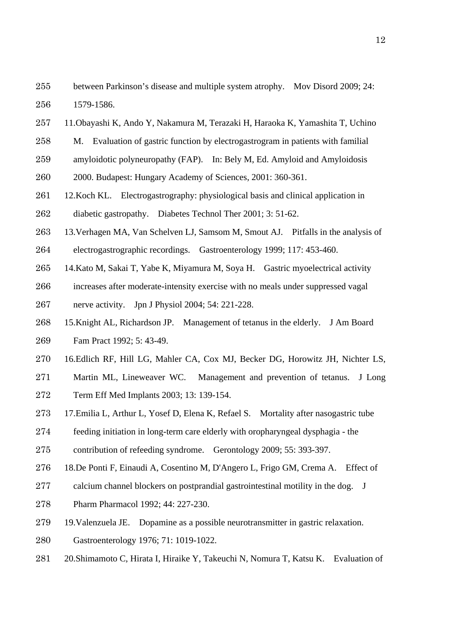- 11.Obayashi K, Ando Y, Nakamura M, Terazaki H, Haraoka K, Yamashita T, Uchino
- M. Evaluation of gastric function by electrogastrogram in patients with familial
- amyloidotic polyneuropathy (FAP). In: Bely M, Ed. Amyloid and Amyloidosis
- 2000. Budapest: Hungary Academy of Sciences, 2001: 360-361.
- 12.Koch KL. Electrogastrography: physiological basis and clinical application in
- diabetic gastropathy. Diabetes Technol Ther 2001; 3: 51-62.
- 13.Verhagen MA, Van Schelven LJ, Samsom M, Smout AJ. Pitfalls in the analysis of electrogastrographic recordings. Gastroenterology 1999; 117: 453-460.
- 14.Kato M, Sakai T, Yabe K, Miyamura M, Soya H. Gastric myoelectrical activity
- increases after moderate-intensity exercise with no meals under suppressed vagal
- nerve activity. Jpn J Physiol 2004; 54: 221-228.
- 15.Knight AL, Richardson JP. Management of tetanus in the elderly. J Am Board Fam Pract 1992; 5: 43-49.
- 16.Edlich RF, Hill LG, Mahler CA, Cox MJ, Becker DG, Horowitz JH, Nichter LS,
- Martin ML, Lineweaver WC. Management and prevention of tetanus. J Long
- Term Eff Med Implants 2003; 13: 139-154.
- 17.Emilia L, Arthur L, Yosef D, Elena K, Refael S. Mortality after nasogastric tube
- feeding initiation in long-term care elderly with oropharyngeal dysphagia the
- contribution of refeeding syndrome. Gerontology 2009; 55: 393-397.
- 18.De Ponti F, Einaudi A, Cosentino M, D'Angero L, Frigo GM, Crema A. Effect of
- calcium channel blockers on postprandial gastrointestinal motility in the dog. J
- Pharm Pharmacol 1992; 44: 227-230.
- 19.Valenzuela JE. Dopamine as a possible neurotransmitter in gastric relaxation.
- Gastroenterology 1976; 71: 1019-1022.
- 20.Shimamoto C, Hirata I, Hiraike Y, Takeuchi N, Nomura T, Katsu K. Evaluation of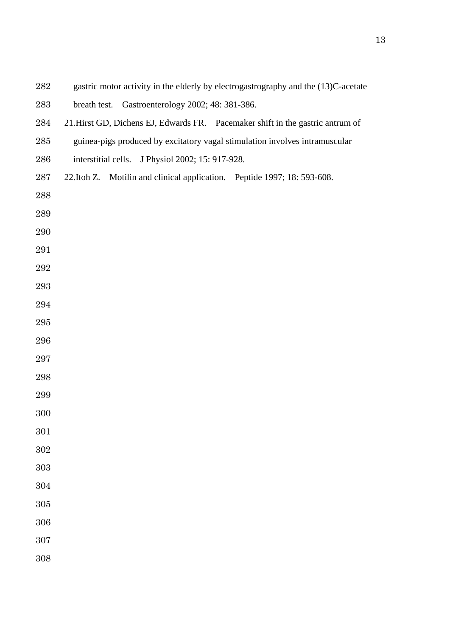- gastric motor activity in the elderly by electrogastrography and the (13)C-acetate
- breath test. Gastroenterology 2002; 48: 381-386.
- 21.Hirst GD, Dichens EJ, Edwards FR. Pacemaker shift in the gastric antrum of
- guinea-pigs produced by excitatory vagal stimulation involves intramuscular
- interstitial cells. J Physiol 2002; 15: 917-928.
- 22.Itoh Z. Motilin and clinical application. Peptide 1997; 18: 593-608.
- 
- 
- 
- 
- 
- 
- 
- 
- 
- 
- 
- 
- 
- 
- 
- 
- 
- 
- 
- 
-